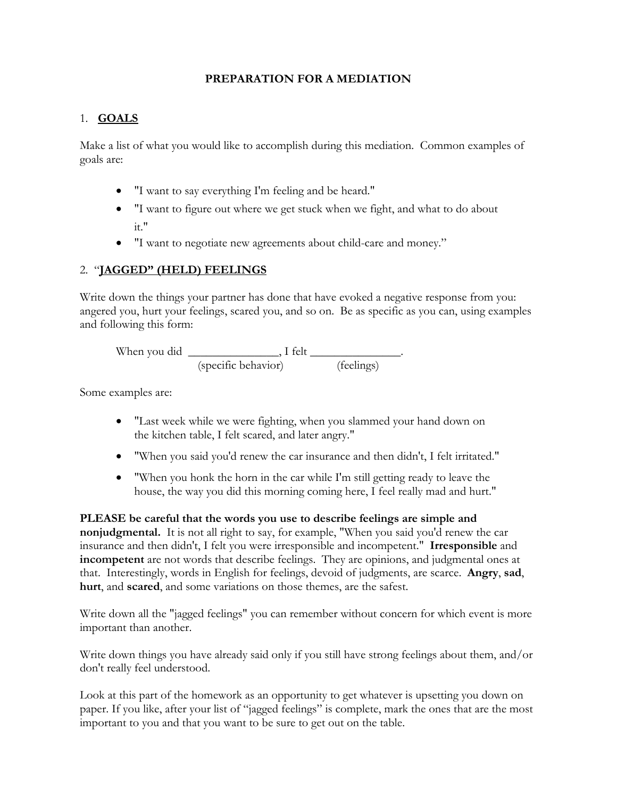## **PREPARATION FOR A MEDIATION**

## 1. **GOALS**

Make a list of what you would like to accomplish during this mediation. Common examples of goals are:

- "I want to say everything I'm feeling and be heard."
- "I want to figure out where we get stuck when we fight, and what to do about it."
- "I want to negotiate new agreements about child-care and money."

## 2. "**JAGGED" (HELD) FEELINGS**

Write down the things your partner has done that have evoked a negative response from you: angered you, hurt your feelings, scared you, and so on. Be as specific as you can, using examples and following this form:

| When you did | I felt              |            |  |
|--------------|---------------------|------------|--|
|              | (specific behavior) | (feelings) |  |

Some examples are:

- "Last week while we were fighting, when you slammed your hand down on the kitchen table, I felt scared, and later angry."
- "When you said you'd renew the car insurance and then didn't, I felt irritated."
- "When you honk the horn in the car while I'm still getting ready to leave the house, the way you did this morning coming here, I feel really mad and hurt."

**PLEASE be careful that the words you use to describe feelings are simple and nonjudgmental.** It is not all right to say, for example, "When you said you'd renew the car insurance and then didn't, I felt you were irresponsible and incompetent." **Irresponsible** and **incompetent** are not words that describe feelings. They are opinions, and judgmental ones at that. Interestingly, words in English for feelings, devoid of judgments, are scarce. **Angry**, **sad**, **hurt**, and **scared**, and some variations on those themes, are the safest.

Write down all the "jagged feelings" you can remember without concern for which event is more important than another.

Write down things you have already said only if you still have strong feelings about them, and/or don't really feel understood.

Look at this part of the homework as an opportunity to get whatever is upsetting you down on paper. If you like, after your list of "jagged feelings" is complete, mark the ones that are the most important to you and that you want to be sure to get out on the table.